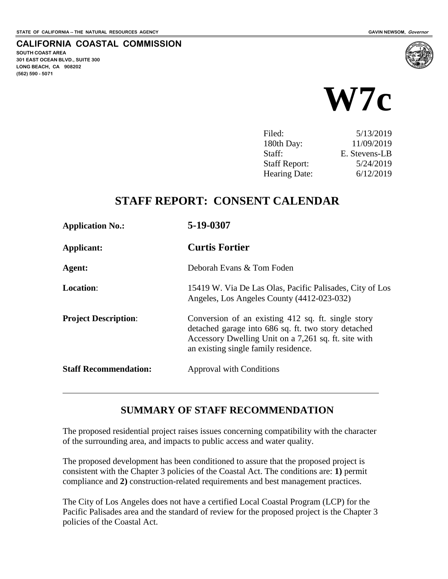**SOUTH COAST AREA**

**(562) 590 - 5071**

**301 EAST OCEAN BLVD., SUITE 300 LONG BEACH, CA 908202**

**CALIFORNIA COASTAL COMMISSION**



| Filed:               | 5/13/2019     |
|----------------------|---------------|
| 180th Day:           | 11/09/2019    |
| Staff:               | E. Stevens-LB |
| <b>Staff Report:</b> | 5/24/2019     |
| <b>Hearing Date:</b> | 6/12/2019     |
|                      |               |

## **STAFF REPORT: CONSENT CALENDAR**

| <b>Application No.:</b>      | 5-19-0307                                                                                                                                                                                                 |
|------------------------------|-----------------------------------------------------------------------------------------------------------------------------------------------------------------------------------------------------------|
| Applicant:                   | <b>Curtis Fortier</b>                                                                                                                                                                                     |
| Agent:                       | Deborah Evans & Tom Foden                                                                                                                                                                                 |
| <b>Location:</b>             | 15419 W. Via De Las Olas, Pacific Palisades, City of Los<br>Angeles, Los Angeles County (4412-023-032)                                                                                                    |
| <b>Project Description:</b>  | Conversion of an existing 412 sq. ft. single story<br>detached garage into 686 sq. ft. two story detached<br>Accessory Dwelling Unit on a 7,261 sq. ft. site with<br>an existing single family residence. |
| <b>Staff Recommendation:</b> | <b>Approval with Conditions</b>                                                                                                                                                                           |

#### **SUMMARY OF STAFF RECOMMENDATION**

The proposed residential project raises issues concerning compatibility with the character of the surrounding area, and impacts to public access and water quality.

The proposed development has been conditioned to assure that the proposed project is consistent with the Chapter 3 policies of the Coastal Act. The conditions are: **1)** permit compliance and **2)** construction-related requirements and best management practices.

The City of Los Angeles does not have a certified Local Coastal Program (LCP) for the Pacific Palisades area and the standard of review for the proposed project is the Chapter 3 policies of the Coastal Act.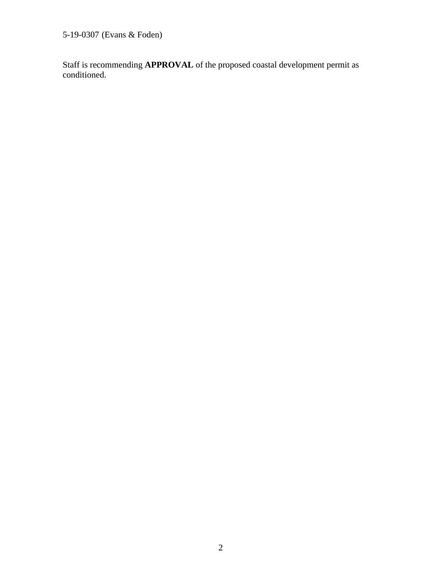5-19-0307 (Evans & Foden)

Staff is recommending **APPROVAL** of the proposed coastal development permit as conditioned.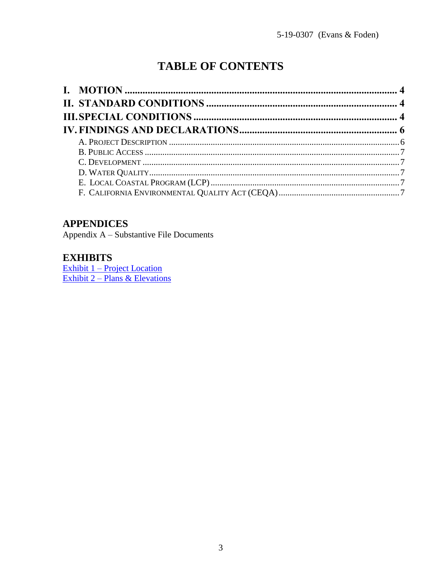# **TABLE OF CONTENTS**

# **APPENDICES**

Appendix A - Substantive File Documents

#### **EXHIBITS**

Exhibit  $1$  – Project Location<br>Exhibit 2 – Plans & Elevations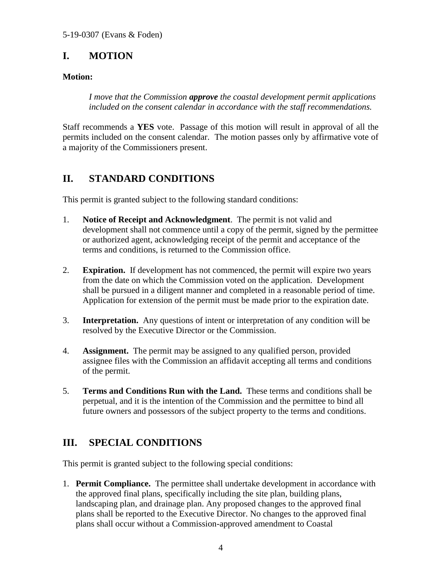# <span id="page-3-0"></span>**I. MOTION**

#### **Motion:**

*I move that the Commission approve the coastal development permit applications included on the consent calendar in accordance with the staff recommendations.*

Staff recommends a **YES** vote. Passage of this motion will result in approval of all the permits included on the consent calendar. The motion passes only by affirmative vote of a majority of the Commissioners present.

# <span id="page-3-1"></span>**II. STANDARD CONDITIONS**

This permit is granted subject to the following standard conditions:

- 1. **Notice of Receipt and Acknowledgment**. The permit is not valid and development shall not commence until a copy of the permit, signed by the permittee or authorized agent, acknowledging receipt of the permit and acceptance of the terms and conditions, is returned to the Commission office.
- 2. **Expiration.** If development has not commenced, the permit will expire two years from the date on which the Commission voted on the application. Development shall be pursued in a diligent manner and completed in a reasonable period of time. Application for extension of the permit must be made prior to the expiration date.
- 3. **Interpretation.** Any questions of intent or interpretation of any condition will be resolved by the Executive Director or the Commission.
- 4. **Assignment.** The permit may be assigned to any qualified person, provided assignee files with the Commission an affidavit accepting all terms and conditions of the permit.
- 5. **Terms and Conditions Run with the Land.** These terms and conditions shall be perpetual, and it is the intention of the Commission and the permittee to bind all future owners and possessors of the subject property to the terms and conditions.

## <span id="page-3-2"></span>**III. SPECIAL CONDITIONS**

This permit is granted subject to the following special conditions:

1. **Permit Compliance.** The permittee shall undertake development in accordance with the approved final plans, specifically including the site plan, building plans, landscaping plan, and drainage plan. Any proposed changes to the approved final plans shall be reported to the Executive Director. No changes to the approved final plans shall occur without a Commission-approved amendment to Coastal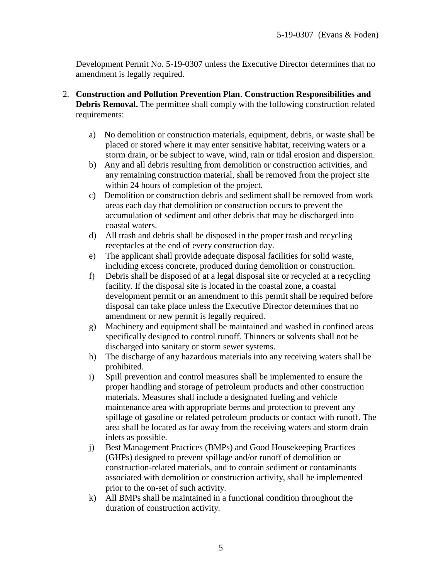Development Permit No. 5-19-0307 unless the Executive Director determines that no amendment is legally required.

- 2. **Construction and Pollution Prevention Plan**. **Construction Responsibilities and Debris Removal.** The permittee shall comply with the following construction related requirements:
	- a) No demolition or construction materials, equipment, debris, or waste shall be placed or stored where it may enter sensitive habitat, receiving waters or a storm drain, or be subject to wave, wind, rain or tidal erosion and dispersion.
	- b) Any and all debris resulting from demolition or construction activities, and any remaining construction material, shall be removed from the project site within 24 hours of completion of the project.
	- c) Demolition or construction debris and sediment shall be removed from work areas each day that demolition or construction occurs to prevent the accumulation of sediment and other debris that may be discharged into coastal waters.
	- d) All trash and debris shall be disposed in the proper trash and recycling receptacles at the end of every construction day.
	- e) The applicant shall provide adequate disposal facilities for solid waste, including excess concrete, produced during demolition or construction.
	- f) Debris shall be disposed of at a legal disposal site or recycled at a recycling facility. If the disposal site is located in the coastal zone, a coastal development permit or an amendment to this permit shall be required before disposal can take place unless the Executive Director determines that no amendment or new permit is legally required.
	- g) Machinery and equipment shall be maintained and washed in confined areas specifically designed to control runoff. Thinners or solvents shall not be discharged into sanitary or storm sewer systems.
	- h) The discharge of any hazardous materials into any receiving waters shall be prohibited.
	- i) Spill prevention and control measures shall be implemented to ensure the proper handling and storage of petroleum products and other construction materials. Measures shall include a designated fueling and vehicle maintenance area with appropriate berms and protection to prevent any spillage of gasoline or related petroleum products or contact with runoff. The area shall be located as far away from the receiving waters and storm drain inlets as possible.
	- j) Best Management Practices (BMPs) and Good Housekeeping Practices (GHPs) designed to prevent spillage and/or runoff of demolition or construction-related materials, and to contain sediment or contaminants associated with demolition or construction activity, shall be implemented prior to the on-set of such activity.
	- k) All BMPs shall be maintained in a functional condition throughout the duration of construction activity.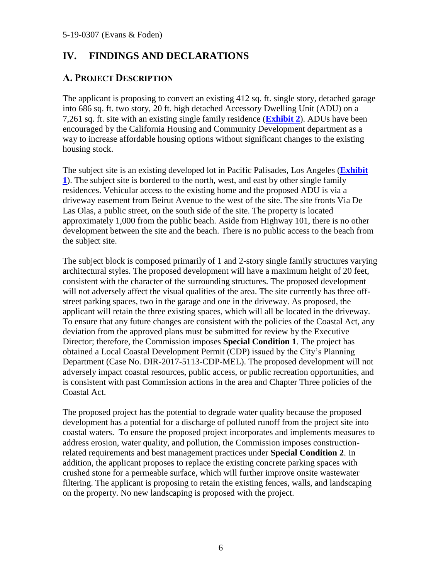# <span id="page-5-0"></span>**IV. FINDINGS AND DECLARATIONS**

#### <span id="page-5-1"></span>**A. PROJECT DESCRIPTION**

The applicant is proposing to convert an existing 412 sq. ft. single story, detached garage into 686 sq. ft. two story, 20 ft. high detached Accessory Dwelling Unit (ADU) on a 7,261 sq. ft. site with an existing single family residence (**[Exhibit 2](https://documents.coastal.ca.gov/reports/2019/6/w7c/w7c-6-2019-exhibits.pdf)**). ADUs have been encouraged by the California Housing and Community Development department as a way to increase affordable housing options without significant changes to the existing housing stock.

The subject site is an existing developed lot in Pacific Palisades, Los Angeles (**[Exhibit](https://documents.coastal.ca.gov/reports/2019/6/w7c/w7c-6-2019-exhibits.pdf)  [1](https://documents.coastal.ca.gov/reports/2019/6/w7c/w7c-6-2019-exhibits.pdf)**). The subject site is bordered to the north, west, and east by other single family residences. Vehicular access to the existing home and the proposed ADU is via a driveway easement from Beirut Avenue to the west of the site. The site fronts Via De Las Olas, a public street, on the south side of the site. The property is located approximately 1,000 from the public beach. Aside from Highway 101, there is no other development between the site and the beach. There is no public access to the beach from the subject site.

The subject block is composed primarily of 1 and 2-story single family structures varying architectural styles. The proposed development will have a maximum height of 20 feet, consistent with the character of the surrounding structures. The proposed development will not adversely affect the visual qualities of the area. The site currently has three offstreet parking spaces, two in the garage and one in the driveway. As proposed, the applicant will retain the three existing spaces, which will all be located in the driveway. To ensure that any future changes are consistent with the policies of the Coastal Act, any deviation from the approved plans must be submitted for review by the Executive Director; therefore, the Commission imposes **Special Condition 1**. The project has obtained a Local Coastal Development Permit (CDP) issued by the City's Planning Department (Case No. DIR-2017-5113-CDP-MEL). The proposed development will not adversely impact coastal resources, public access, or public recreation opportunities, and is consistent with past Commission actions in the area and Chapter Three policies of the Coastal Act.

The proposed project has the potential to degrade water quality because the proposed development has a potential for a discharge of polluted runoff from the project site into coastal waters. To ensure the proposed project incorporates and implements measures to address erosion, water quality, and pollution, the Commission imposes constructionrelated requirements and best management practices under **Special Condition 2**. In addition, the applicant proposes to replace the existing concrete parking spaces with crushed stone for a permeable surface, which will further improve onsite wastewater filtering. The applicant is proposing to retain the existing fences, walls, and landscaping on the property. No new landscaping is proposed with the project.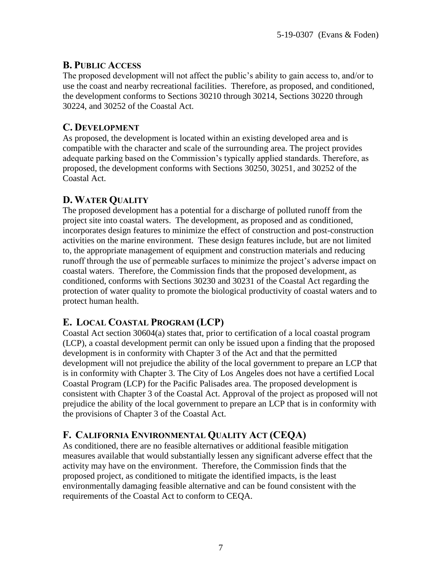#### <span id="page-6-0"></span>**B. PUBLIC ACCESS**

The proposed development will not affect the public's ability to gain access to, and/or to use the coast and nearby recreational facilities. Therefore, as proposed, and conditioned, the development conforms to Sections 30210 through 30214, Sections 30220 through 30224, and 30252 of the Coastal Act.

#### <span id="page-6-1"></span>**C. DEVELOPMENT**

As proposed, the development is located within an existing developed area and is compatible with the character and scale of the surrounding area. The project provides adequate parking based on the Commission's typically applied standards. Therefore, as proposed, the development conforms with Sections 30250, 30251, and 30252 of the Coastal Act.

#### <span id="page-6-2"></span>**D. WATER QUALITY**

The proposed development has a potential for a discharge of polluted runoff from the project site into coastal waters. The development, as proposed and as conditioned, incorporates design features to minimize the effect of construction and post-construction activities on the marine environment. These design features include, but are not limited to, the appropriate management of equipment and construction materials and reducing runoff through the use of permeable surfaces to minimize the project's adverse impact on coastal waters. Therefore, the Commission finds that the proposed development, as conditioned, conforms with Sections 30230 and 30231 of the Coastal Act regarding the protection of water quality to promote the biological productivity of coastal waters and to protect human health.

# <span id="page-6-3"></span>**E. LOCAL COASTAL PROGRAM (LCP)**

Coastal Act section 30604(a) states that, prior to certification of a local coastal program (LCP), a coastal development permit can only be issued upon a finding that the proposed development is in conformity with Chapter 3 of the Act and that the permitted development will not prejudice the ability of the local government to prepare an LCP that is in conformity with Chapter 3. The City of Los Angeles does not have a certified Local Coastal Program (LCP) for the Pacific Palisades area. The proposed development is consistent with Chapter 3 of the Coastal Act. Approval of the project as proposed will not prejudice the ability of the local government to prepare an LCP that is in conformity with the provisions of Chapter 3 of the Coastal Act.

#### <span id="page-6-4"></span>**F. CALIFORNIA ENVIRONMENTAL QUALITY ACT (CEQA)**

As conditioned, there are no feasible alternatives or additional feasible mitigation measures available that would substantially lessen any significant adverse effect that the activity may have on the environment. Therefore, the Commission finds that the proposed project, as conditioned to mitigate the identified impacts, is the least environmentally damaging feasible alternative and can be found consistent with the requirements of the Coastal Act to conform to CEQA.